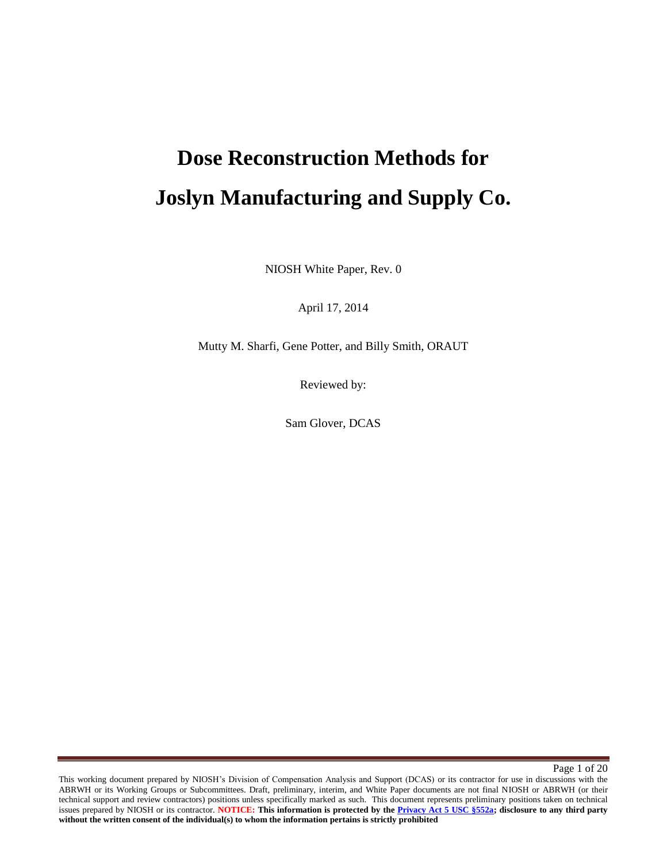# **Dose Reconstruction Methods for Joslyn Manufacturing and Supply Co.**

NIOSH White Paper, Rev. 0

April 17, 2014

Mutty M. Sharfi, Gene Potter, and Billy Smith, ORAUT

Reviewed by:

Sam Glover, DCAS

Page 1 of 20

This working document prepared by NIOSH's Division of Compensation Analysis and Support (DCAS) or its contractor for use in discussions with the ABRWH or its Working Groups or Subcommittees. Draft, preliminary, interim, and White Paper documents are not final NIOSH or ABRWH (or their technical support and review contractors) positions unless specifically marked as such. This document represents preliminary positions taken on technical issues prepared by NIOSH or its contractor. **NOTICE: This information is protected by the Privacy Act 5 USC §552a; disclosure to any third party without the written consent of the individual(s) to whom the information pertains is strictly prohibited**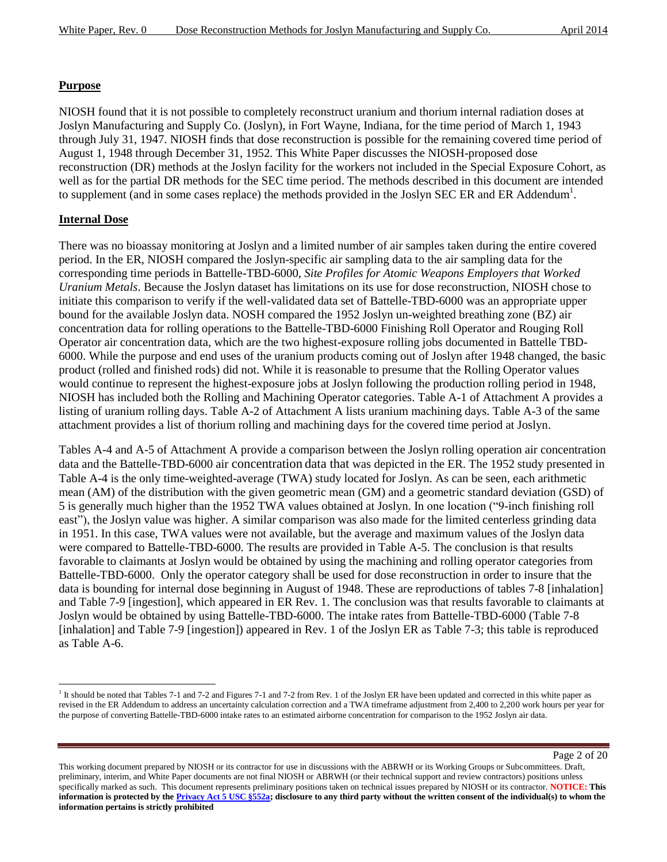### **Purpose**

NIOSH found that it is not possible to completely reconstruct uranium and thorium internal radiation doses at Joslyn Manufacturing and Supply Co. (Joslyn), in Fort Wayne, Indiana, for the time period of March 1, 1943 through July 31, 1947. NIOSH finds that dose reconstruction is possible for the remaining covered time period of August 1, 1948 through December 31, 1952. This White Paper discusses the NIOSH-proposed dose reconstruction (DR) methods at the Joslyn facility for the workers not included in the Special Exposure Cohort, as well as for the partial DR methods for the SEC time period. The methods described in this document are intended to supplement (and in some cases replace) the methods provided in the Joslyn SEC ER and ER Addendum<sup>1</sup>.

### **Internal Dose**

l

There was no bioassay monitoring at Joslyn and a limited number of air samples taken during the entire covered period. In the ER, NIOSH compared the Joslyn-specific air sampling data to the air sampling data for the corresponding time periods in Battelle-TBD-6000, *Site Profiles for Atomic Weapons Employers that Worked Uranium Metals*. Because the Joslyn dataset has limitations on its use for dose reconstruction, NIOSH chose to initiate this comparison to verify if the well-validated data set of Battelle-TBD-6000 was an appropriate upper bound for the available Joslyn data. NOSH compared the 1952 Joslyn un-weighted breathing zone (BZ) air concentration data for rolling operations to the Battelle-TBD-6000 Finishing Roll Operator and Rouging Roll Operator air concentration data, which are the two highest-exposure rolling jobs documented in Battelle TBD-6000. While the purpose and end uses of the uranium products coming out of Joslyn after 1948 changed, the basic product (rolled and finished rods) did not. While it is reasonable to presume that the Rolling Operator values would continue to represent the highest-exposure jobs at Joslyn following the production rolling period in 1948, NIOSH has included both the Rolling and Machining Operator categories. Table A-1 of Attachment A provides a listing of uranium rolling days. Table A-2 of Attachment A lists uranium machining days. Table A-3 of the same attachment provides a list of thorium rolling and machining days for the covered time period at Joslyn.

Tables A-4 and A-5 of Attachment A provide a comparison between the Joslyn rolling operation air concentration data and the Battelle-TBD-6000 air concentration data that was depicted in the ER. The 1952 study presented in Table A-4 is the only time-weighted-average (TWA) study located for Joslyn. As can be seen, each arithmetic mean (AM) of the distribution with the given geometric mean (GM) and a geometric standard deviation (GSD) of 5 is generally much higher than the 1952 TWA values obtained at Joslyn. In one location ("9-inch finishing roll east"), the Joslyn value was higher. A similar comparison was also made for the limited centerless grinding data in 1951. In this case, TWA values were not available, but the average and maximum values of the Joslyn data were compared to Battelle-TBD-6000. The results are provided in Table A-5. The conclusion is that results favorable to claimants at Joslyn would be obtained by using the machining and rolling operator categories from Battelle-TBD-6000. Only the operator category shall be used for dose reconstruction in order to insure that the data is bounding for internal dose beginning in August of 1948. These are reproductions of tables 7-8 [inhalation] and Table 7-9 [ingestion], which appeared in ER Rev. 1. The conclusion was that results favorable to claimants at Joslyn would be obtained by using Battelle-TBD-6000. The intake rates from Battelle-TBD-6000 (Table 7-8 [inhalation] and Table 7-9 [ingestion]) appeared in Rev. 1 of the Joslyn ER as Table 7-3; this table is reproduced as Table A-6.

Page 2 of 20

<sup>&</sup>lt;sup>1</sup> It should be noted that Tables 7-1 and 7-2 and Figures 7-1 and 7-2 from Rev. 1 of the Joslyn ER have been updated and corrected in this white paper as revised in the ER Addendum to address an uncertainty calculation correction and a TWA timeframe adjustment from 2,400 to 2,200 work hours per year for the purpose of converting Battelle-TBD-6000 intake rates to an estimated airborne concentration for comparison to the 1952 Joslyn air data.

This working document prepared by NIOSH or its contractor for use in discussions with the ABRWH or its Working Groups or Subcommittees. Draft, preliminary, interim, and White Paper documents are not final NIOSH or ABRWH (or their technical support and review contractors) positions unless specifically marked as such. This document represents preliminary positions taken on technical issues prepared by NIOSH or its contractor. **NOTICE: This information is protected by the Privacy Act 5 USC §552a; disclosure to any third party without the written consent of the individual(s) to whom the information pertains is strictly prohibited**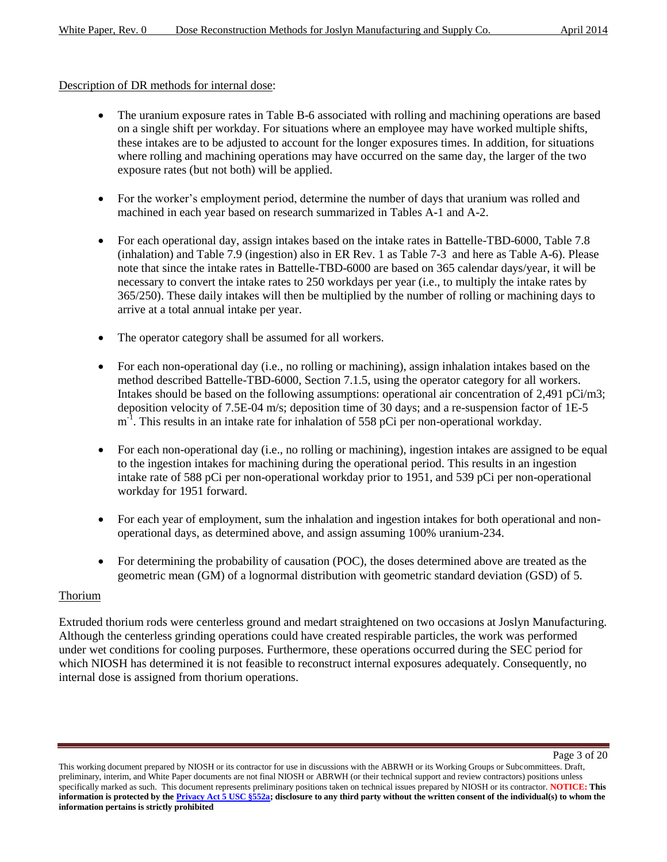### Description of DR methods for internal dose:

- The uranium exposure rates in Table B-6 associated with rolling and machining operations are based on a single shift per workday. For situations where an employee may have worked multiple shifts, these intakes are to be adjusted to account for the longer exposures times. In addition, for situations where rolling and machining operations may have occurred on the same day, the larger of the two exposure rates (but not both) will be applied.
- For the worker's employment period, determine the number of days that uranium was rolled and machined in each year based on research summarized in Tables A-1 and A-2.
- For each operational day, assign intakes based on the intake rates in Battelle-TBD-6000, Table 7.8 (inhalation) and Table 7.9 (ingestion) also in ER Rev. 1 as Table 7-3 and here as Table A-6). Please note that since the intake rates in Battelle-TBD-6000 are based on 365 calendar days/year, it will be necessary to convert the intake rates to 250 workdays per year (i.e., to multiply the intake rates by 365/250). These daily intakes will then be multiplied by the number of rolling or machining days to arrive at a total annual intake per year.
- The operator category shall be assumed for all workers.
- For each non-operational day (i.e., no rolling or machining), assign inhalation intakes based on the method described Battelle-TBD-6000, Section 7.1.5, using the operator category for all workers. Intakes should be based on the following assumptions: operational air concentration of 2,491 pCi/m3; deposition velocity of 7.5E-04 m/s; deposition time of 30 days; and a re-suspension factor of 1E-5  $m^{-1}$ . This results in an intake rate for inhalation of 558 pCi per non-operational workday.
- For each non-operational day (i.e., no rolling or machining), ingestion intakes are assigned to be equal to the ingestion intakes for machining during the operational period. This results in an ingestion intake rate of 588 pCi per non-operational workday prior to 1951, and 539 pCi per non-operational workday for 1951 forward.
- For each year of employment, sum the inhalation and ingestion intakes for both operational and nonoperational days, as determined above, and assign assuming 100% uranium-234.
- For determining the probability of causation (POC), the doses determined above are treated as the geometric mean (GM) of a lognormal distribution with geometric standard deviation (GSD) of 5.

### Thorium

Extruded thorium rods were centerless ground and medart straightened on two occasions at Joslyn Manufacturing. Although the centerless grinding operations could have created respirable particles, the work was performed under wet conditions for cooling purposes. Furthermore, these operations occurred during the SEC period for which NIOSH has determined it is not feasible to reconstruct internal exposures adequately. Consequently, no internal dose is assigned from thorium operations.

Page 3 of 20

This working document prepared by NIOSH or its contractor for use in discussions with the ABRWH or its Working Groups or Subcommittees. Draft, preliminary, interim, and White Paper documents are not final NIOSH or ABRWH (or their technical support and review contractors) positions unless specifically marked as such. This document represents preliminary positions taken on technical issues prepared by NIOSH or its contractor. **NOTICE: This information is protected by the Privacy Act 5 USC §552a; disclosure to any third party without the written consent of the individual(s) to whom the information pertains is strictly prohibited**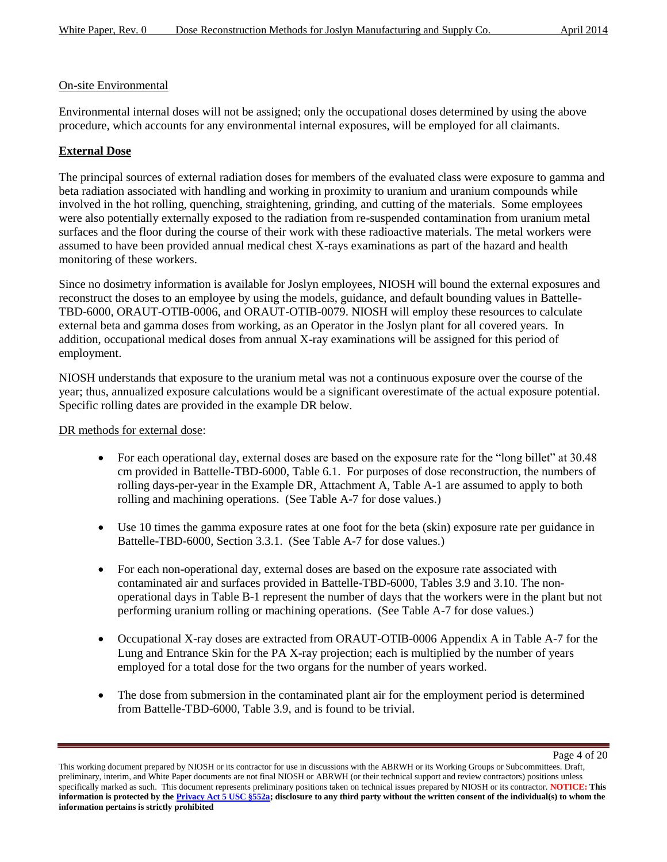### On-site Environmental

Environmental internal doses will not be assigned; only the occupational doses determined by using the above procedure, which accounts for any environmental internal exposures, will be employed for all claimants.

### **External Dose**

The principal sources of external radiation doses for members of the evaluated class were exposure to gamma and beta radiation associated with handling and working in proximity to uranium and uranium compounds while involved in the hot rolling, quenching, straightening, grinding, and cutting of the materials. Some employees were also potentially externally exposed to the radiation from re-suspended contamination from uranium metal surfaces and the floor during the course of their work with these radioactive materials. The metal workers were assumed to have been provided annual medical chest X-rays examinations as part of the hazard and health monitoring of these workers.

Since no dosimetry information is available for Joslyn employees, NIOSH will bound the external exposures and reconstruct the doses to an employee by using the models, guidance, and default bounding values in Battelle-TBD-6000, ORAUT-OTIB-0006, and ORAUT-OTIB-0079. NIOSH will employ these resources to calculate external beta and gamma doses from working, as an Operator in the Joslyn plant for all covered years. In addition, occupational medical doses from annual X-ray examinations will be assigned for this period of employment.

NIOSH understands that exposure to the uranium metal was not a continuous exposure over the course of the year; thus, annualized exposure calculations would be a significant overestimate of the actual exposure potential. Specific rolling dates are provided in the example DR below.

DR methods for external dose:

- For each operational day, external doses are based on the exposure rate for the "long billet" at 30.48 cm provided in Battelle-TBD-6000, Table 6.1. For purposes of dose reconstruction, the numbers of rolling days-per-year in the Example DR, Attachment A, Table A-1 are assumed to apply to both rolling and machining operations. (See Table A-7 for dose values.)
- Use 10 times the gamma exposure rates at one foot for the beta (skin) exposure rate per guidance in Battelle-TBD-6000, Section 3.3.1. (See Table A-7 for dose values.)
- For each non-operational day, external doses are based on the exposure rate associated with contaminated air and surfaces provided in Battelle-TBD-6000, Tables 3.9 and 3.10. The nonoperational days in Table B-1 represent the number of days that the workers were in the plant but not performing uranium rolling or machining operations. (See Table A-7 for dose values.)
- Occupational X-ray doses are extracted from ORAUT-OTIB-0006 Appendix A in Table A-7 for the Lung and Entrance Skin for the PA X-ray projection; each is multiplied by the number of years employed for a total dose for the two organs for the number of years worked.
- The dose from submersion in the contaminated plant air for the employment period is determined from Battelle-TBD-6000, Table 3.9, and is found to be trivial.

Page 4 of 20

This working document prepared by NIOSH or its contractor for use in discussions with the ABRWH or its Working Groups or Subcommittees. Draft, preliminary, interim, and White Paper documents are not final NIOSH or ABRWH (or their technical support and review contractors) positions unless specifically marked as such. This document represents preliminary positions taken on technical issues prepared by NIOSH or its contractor. **NOTICE: This information is protected by the Privacy Act 5 USC §552a; disclosure to any third party without the written consent of the individual(s) to whom the information pertains is strictly prohibited**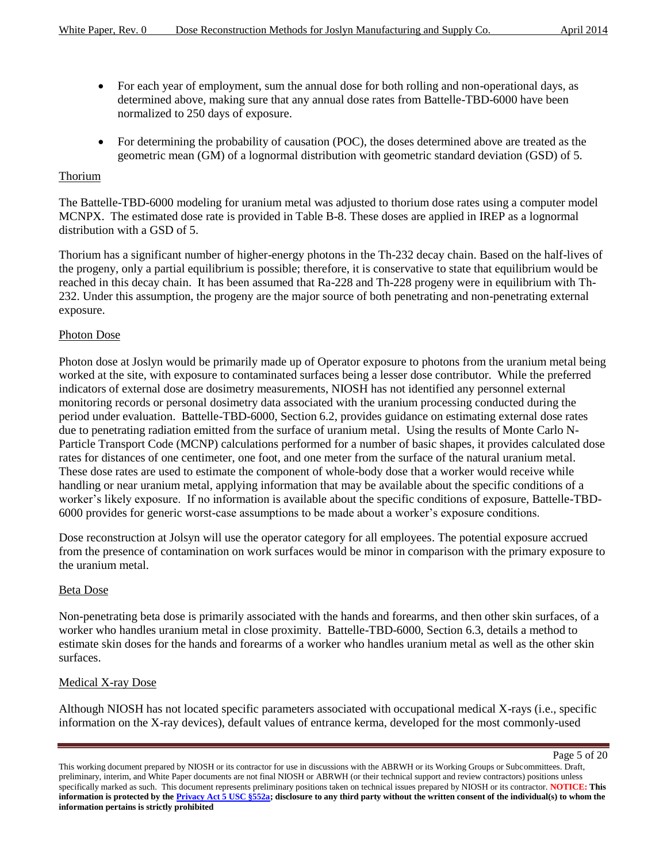- For each year of employment, sum the annual dose for both rolling and non-operational days, as determined above, making sure that any annual dose rates from Battelle-TBD-6000 have been normalized to 250 days of exposure.
- For determining the probability of causation (POC), the doses determined above are treated as the geometric mean (GM) of a lognormal distribution with geometric standard deviation (GSD) of 5.

### Thorium

The Battelle-TBD-6000 modeling for uranium metal was adjusted to thorium dose rates using a computer model MCNPX. The estimated dose rate is provided in Table B-8. These doses are applied in IREP as a lognormal distribution with a GSD of 5.

Thorium has a significant number of higher-energy photons in the Th-232 decay chain. Based on the half-lives of the progeny, only a partial equilibrium is possible; therefore, it is conservative to state that equilibrium would be reached in this decay chain. It has been assumed that Ra-228 and Th-228 progeny were in equilibrium with Th-232. Under this assumption, the progeny are the major source of both penetrating and non-penetrating external exposure.

### Photon Dose

Photon dose at Joslyn would be primarily made up of Operator exposure to photons from the uranium metal being worked at the site, with exposure to contaminated surfaces being a lesser dose contributor. While the preferred indicators of external dose are dosimetry measurements, NIOSH has not identified any personnel external monitoring records or personal dosimetry data associated with the uranium processing conducted during the period under evaluation. Battelle-TBD-6000, Section 6.2, provides guidance on estimating external dose rates due to penetrating radiation emitted from the surface of uranium metal. Using the results of Monte Carlo N-Particle Transport Code (MCNP) calculations performed for a number of basic shapes, it provides calculated dose rates for distances of one centimeter, one foot, and one meter from the surface of the natural uranium metal. These dose rates are used to estimate the component of whole-body dose that a worker would receive while handling or near uranium metal, applying information that may be available about the specific conditions of a worker's likely exposure. If no information is available about the specific conditions of exposure, Battelle-TBD-6000 provides for generic worst-case assumptions to be made about a worker's exposure conditions.

Dose reconstruction at Jolsyn will use the operator category for all employees. The potential exposure accrued from the presence of contamination on work surfaces would be minor in comparison with the primary exposure to the uranium metal.

### Beta Dose

Non-penetrating beta dose is primarily associated with the hands and forearms, and then other skin surfaces, of a worker who handles uranium metal in close proximity. Battelle-TBD-6000, Section 6.3, details a method to estimate skin doses for the hands and forearms of a worker who handles uranium metal as well as the other skin surfaces.

### Medical X-ray Dose

Although NIOSH has not located specific parameters associated with occupational medical X-rays (i.e., specific information on the X-ray devices), default values of entrance kerma, developed for the most commonly-used

Page 5 of 20

This working document prepared by NIOSH or its contractor for use in discussions with the ABRWH or its Working Groups or Subcommittees. Draft, preliminary, interim, and White Paper documents are not final NIOSH or ABRWH (or their technical support and review contractors) positions unless specifically marked as such. This document represents preliminary positions taken on technical issues prepared by NIOSH or its contractor. **NOTICE: This information is protected by the Privacy Act 5 USC §552a; disclosure to any third party without the written consent of the individual(s) to whom the information pertains is strictly prohibited**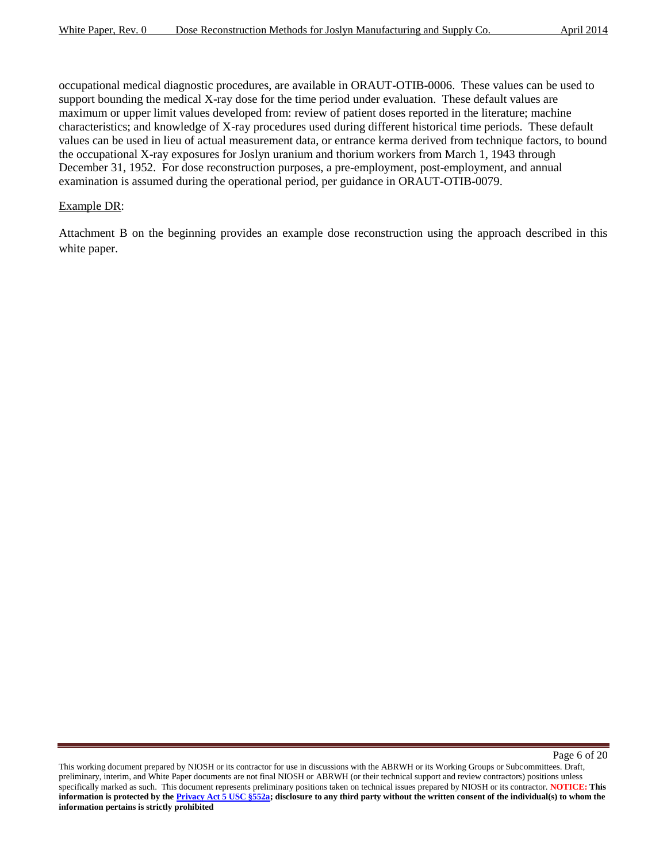occupational medical diagnostic procedures, are available in ORAUT-OTIB-0006. These values can be used to support bounding the medical X-ray dose for the time period under evaluation. These default values are maximum or upper limit values developed from: review of patient doses reported in the literature; machine characteristics; and knowledge of X-ray procedures used during different historical time periods. These default values can be used in lieu of actual measurement data, or entrance kerma derived from technique factors, to bound the occupational X-ray exposures for Joslyn uranium and thorium workers from March 1, 1943 through December 31, 1952. For dose reconstruction purposes, a pre-employment, post-employment, and annual examination is assumed during the operational period, per guidance in ORAUT-OTIB-0079.

#### Example DR:

Attachment B on the beginning provides an example dose reconstruction using the approach described in this white paper.

Page 6 of 20

This working document prepared by NIOSH or its contractor for use in discussions with the ABRWH or its Working Groups or Subcommittees. Draft, preliminary, interim, and White Paper documents are not final NIOSH or ABRWH (or their technical support and review contractors) positions unless specifically marked as such. This document represents preliminary positions taken on technical issues prepared by NIOSH or its contractor. **NOTICE: This information is protected by the Privacy Act 5 USC §552a; disclosure to any third party without the written consent of the individual(s) to whom the information pertains is strictly prohibited**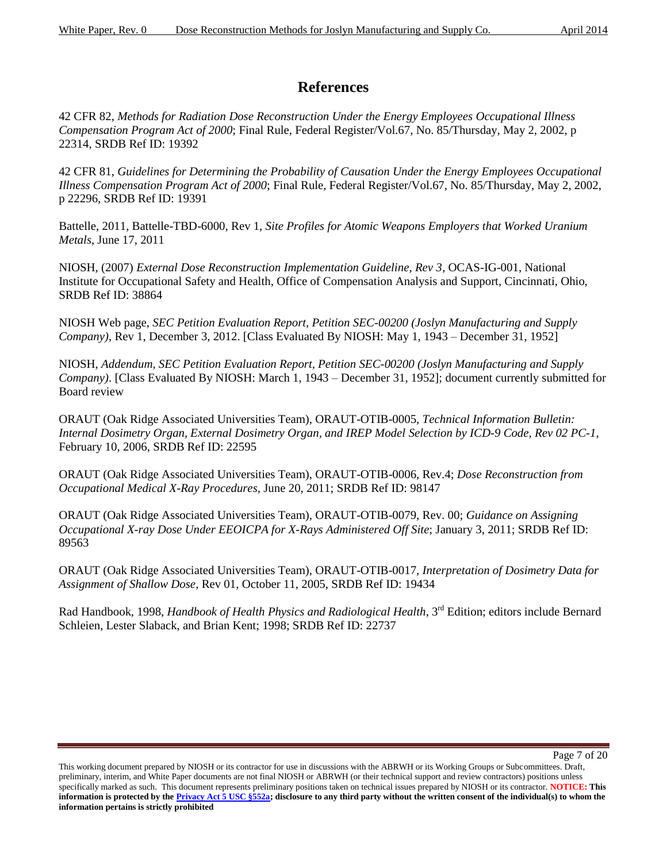# **References**

42 CFR 82, *Methods for Radiation Dose Reconstruction Under the Energy Employees Occupational Illness Compensation Program Act of 2000*; Final Rule, Federal Register/Vol.67, No. 85/Thursday, May 2, 2002, p 22314, SRDB Ref ID: 19392

42 CFR 81, *Guidelines for Determining the Probability of Causation Under the Energy Employees Occupational Illness Compensation Program Act of 2000*; Final Rule, Federal Register/Vol.67, No. 85/Thursday, May 2, 2002, p 22296, SRDB Ref ID: 19391

Battelle, 2011, Battelle-TBD-6000, Rev 1, *Site Profiles for Atomic Weapons Employers that Worked Uranium Metals*, June 17, 2011

NIOSH, (2007) *External Dose Reconstruction Implementation Guideline, Rev 3*, OCAS-IG-001, National Institute for Occupational Safety and Health, Office of Compensation Analysis and Support, Cincinnati, Ohio, SRDB Ref ID: 38864

NIOSH Web page, *SEC Petition Evaluation Report, Petition SEC-00200 (Joslyn Manufacturing and Supply Company)*, Rev 1, December 3, 2012. [Class Evaluated By NIOSH: May 1, 1943 – December 31, 1952]

NIOSH, *Addendum, SEC Petition Evaluation Report, Petition SEC-00200 (Joslyn Manufacturing and Supply Company)*. [Class Evaluated By NIOSH: March 1, 1943 – December 31, 1952]; document currently submitted for Board review

ORAUT (Oak Ridge Associated Universities Team), ORAUT-OTIB-0005, *Technical Information Bulletin: Internal Dosimetry Organ, External Dosimetry Organ, and IREP Model Selection by ICD-9 Code, Rev 02 PC-1*, February 10, 2006, SRDB Ref ID: 22595

ORAUT (Oak Ridge Associated Universities Team), ORAUT-OTIB-0006, Rev.4; *Dose Reconstruction from Occupational Medical X-Ray Procedures,* June 20, 2011; SRDB Ref ID: 98147

ORAUT (Oak Ridge Associated Universities Team), ORAUT-OTIB-0079, Rev. 00; *Guidance on Assigning Occupational X-ray Dose Under EEOICPA for X-Rays Administered Off Site*; January 3, 2011; SRDB Ref ID: 89563

ORAUT (Oak Ridge Associated Universities Team), ORAUT-OTIB-0017, *Interpretation of Dosimetry Data for Assignment of Shallow Dose*, Rev 01, October 11, 2005, SRDB Ref ID: 19434

Rad Handbook, 1998, *Handbook of Health Physics and Radiological Health*, 3<sup>rd</sup> Edition; editors include Bernard Schleien, Lester Slaback, and Brian Kent; 1998; SRDB Ref ID: 22737

This working document prepared by NIOSH or its contractor for use in discussions with the ABRWH or its Working Groups or Subcommittees. Draft, preliminary, interim, and White Paper documents are not final NIOSH or ABRWH (or their technical support and review contractors) positions unless specifically marked as such. This document represents preliminary positions taken on technical issues prepared by NIOSH or its contractor. **NOTICE: This information is protected by the Privacy Act 5 USC §552a; disclosure to any third party without the written consent of the individual(s) to whom the information pertains is strictly prohibited**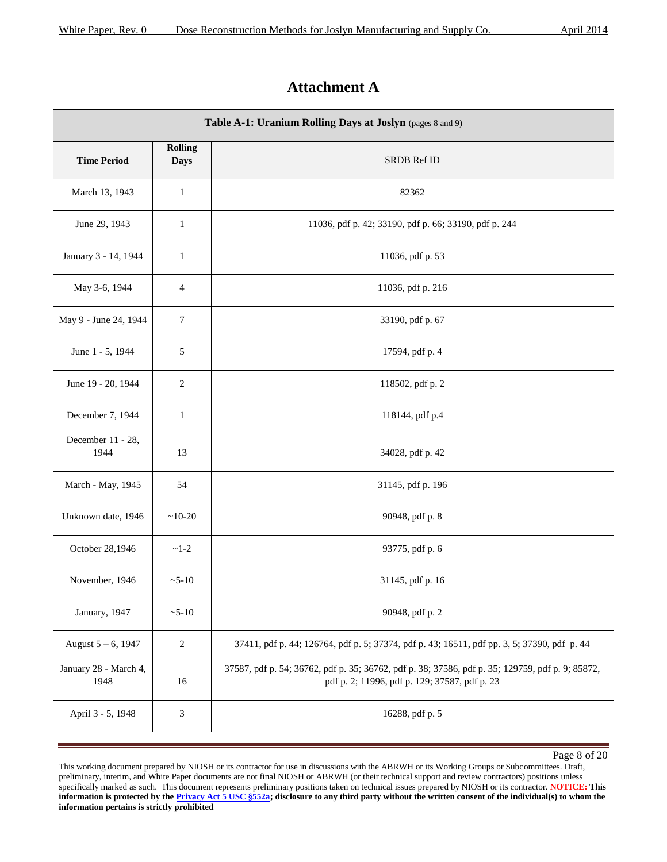# **Attachment A**

| Table A-1: Uranium Rolling Days at Joslyn (pages 8 and 9) |                               |                                                                                                                                                   |  |  |
|-----------------------------------------------------------|-------------------------------|---------------------------------------------------------------------------------------------------------------------------------------------------|--|--|
| <b>Time Period</b>                                        | <b>Rolling</b><br><b>Days</b> | <b>SRDB Ref ID</b>                                                                                                                                |  |  |
| March 13, 1943                                            | $\mathbf{1}$                  | 82362                                                                                                                                             |  |  |
| June 29, 1943                                             | $\mathbf{1}$                  | 11036, pdf p. 42; 33190, pdf p. 66; 33190, pdf p. 244                                                                                             |  |  |
| January 3 - 14, 1944                                      | $\mathbf{1}$                  | 11036, pdf p. 53                                                                                                                                  |  |  |
| May 3-6, 1944                                             | $\overline{4}$                | 11036, pdf p. 216                                                                                                                                 |  |  |
| May 9 - June 24, 1944                                     | $\boldsymbol{7}$              | 33190, pdf p. 67                                                                                                                                  |  |  |
| June 1 - 5, 1944                                          | 5                             | 17594, pdf p. 4                                                                                                                                   |  |  |
| June 19 - 20, 1944                                        | $\overline{c}$                | 118502, pdf p. 2                                                                                                                                  |  |  |
| December 7, 1944                                          | $\mathbf{1}$                  | 118144, pdf p.4                                                                                                                                   |  |  |
| December 11 - 28,<br>1944                                 | 13                            | 34028, pdf p. 42                                                                                                                                  |  |  |
| March - May, 1945                                         | 54                            | 31145, pdf p. 196                                                                                                                                 |  |  |
| Unknown date, 1946                                        | $~10-20$                      | 90948, pdf p. 8                                                                                                                                   |  |  |
| October 28,1946                                           | $~1 - 2$                      | 93775, pdf p. 6                                                                                                                                   |  |  |
| November, 1946                                            | $~5 - 10$                     | 31145, pdf p. 16                                                                                                                                  |  |  |
| January, 1947                                             | $~5 - 10$                     | 90948, pdf p. 2                                                                                                                                   |  |  |
| August $5 - 6$ , 1947                                     | $\sqrt{2}$                    | 37411, pdf p. 44; 126764, pdf p. 5; 37374, pdf p. 43; 16511, pdf pp. 3, 5; 37390, pdf p. 44                                                       |  |  |
| January 28 - March 4,<br>1948                             | 16                            | 37587, pdf p. 54; 36762, pdf p. 35; 36762, pdf p. 38; 37586, pdf p. 35; 129759, pdf p. 9; 85872,<br>pdf p. 2; 11996, pdf p. 129; 37587, pdf p. 23 |  |  |
| April 3 - 5, 1948                                         | 3                             | 16288, pdf p. 5                                                                                                                                   |  |  |

Page 8 of 20

This working document prepared by NIOSH or its contractor for use in discussions with the ABRWH or its Working Groups or Subcommittees. Draft, preliminary, interim, and White Paper documents are not final NIOSH or ABRWH (or their technical support and review contractors) positions unless specifically marked as such. This document represents preliminary positions taken on technical issues prepared by NIOSH or its contractor. **NOTICE: This**  information is protected by the **Privacy Act 5 USC §552a**; disclosure to any third party without the written consent of the individual(s) to whom the **information pertains is strictly prohibited**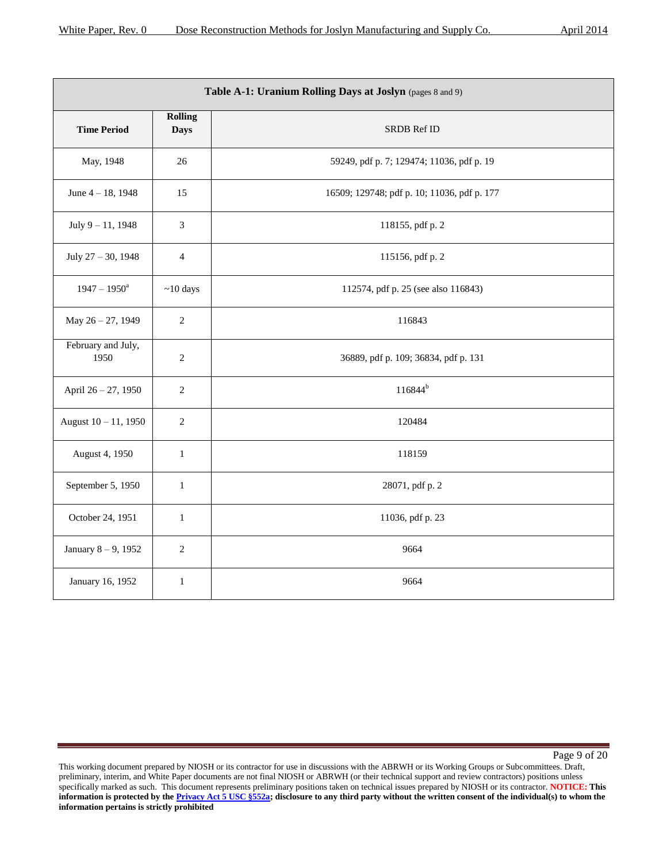|                            |                               | Table A-1: Uranium Rolling Days at Joslyn (pages 8 and 9) |
|----------------------------|-------------------------------|-----------------------------------------------------------|
| <b>Time Period</b>         | <b>Rolling</b><br><b>Days</b> | SRDB Ref ID                                               |
| May, 1948                  | 26                            | 59249, pdf p. 7; 129474; 11036, pdf p. 19                 |
| June $4 - 18$ , 1948       | 15                            | 16509; 129748; pdf p. 10; 11036, pdf p. 177               |
| July 9-11, 1948            | 3                             | 118155, pdf p. 2                                          |
| July 27 - 30, 1948         | $\overline{4}$                | 115156, pdf p. 2                                          |
| $1947 - 1950^a$            | $~10$ days                    | 112574, pdf p. 25 (see also 116843)                       |
| May 26 - 27, 1949          | $\overline{2}$                | 116843                                                    |
| February and July,<br>1950 | $\sqrt{2}$                    | 36889, pdf p. 109; 36834, pdf p. 131                      |
| April 26 - 27, 1950        | $\sqrt{2}$                    | $116844^{b}$                                              |
| August 10 - 11, 1950       | $\sqrt{2}$                    | 120484                                                    |
| August 4, 1950             | $\mathbf{1}$                  | 118159                                                    |
| September 5, 1950          | $\mathbf{1}$                  | 28071, pdf p. 2                                           |
| October 24, 1951           | $\mathbf{1}$                  | 11036, pdf p. 23                                          |
| January 8-9, 1952          | $\overline{c}$                | 9664                                                      |
| January 16, 1952           | $\mathbf{1}$                  | 9664                                                      |

Page 9 of 20

This working document prepared by NIOSH or its contractor for use in discussions with the ABRWH or its Working Groups or Subcommittees. Draft, preliminary, interim, and White Paper documents are not final NIOSH or ABRWH (or their technical support and review contractors) positions unless specifically marked as such. This document represents preliminary positions taken on technical issues prepared by NIOSH or its contractor. **NOTICE: This**  information is protected by the **Privacy Act 5 USC §552a**; disclosure to any third party without the written consent of the individual(s) to whom the **information pertains is strictly prohibited**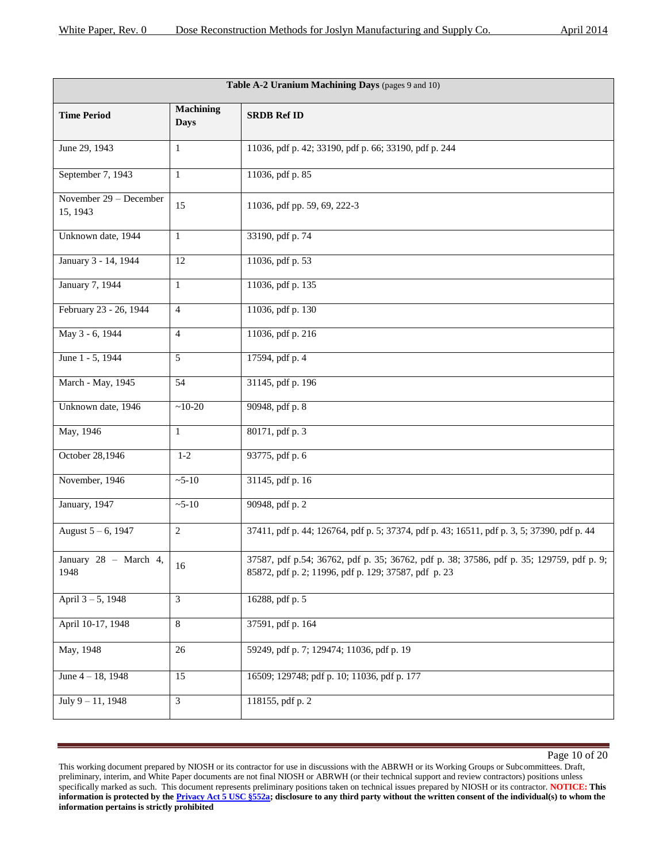| Table A-2 Uranium Machining Days (pages 9 and 10) |                                 |                                                                                                                                                  |  |
|---------------------------------------------------|---------------------------------|--------------------------------------------------------------------------------------------------------------------------------------------------|--|
| <b>Time Period</b>                                | <b>Machining</b><br><b>Days</b> | <b>SRDB Ref ID</b>                                                                                                                               |  |
| June 29, 1943                                     | $\mathbf{1}$                    | 11036, pdf p. 42; 33190, pdf p. 66; 33190, pdf p. 244                                                                                            |  |
| September 7, 1943                                 | $\mathbf{1}$                    | 11036, pdf p. 85                                                                                                                                 |  |
| November 29 - December<br>15, 1943                | 15                              | 11036, pdf pp. 59, 69, 222-3                                                                                                                     |  |
| Unknown date, 1944                                | $\mathbf{1}$                    | 33190, pdf p. 74                                                                                                                                 |  |
| January 3 - 14, 1944                              | 12                              | 11036, pdf p. 53                                                                                                                                 |  |
| January 7, 1944                                   | $\mathbf{1}$                    | 11036, pdf p. 135                                                                                                                                |  |
| February 23 - 26, 1944                            | $\overline{4}$                  | 11036, pdf p. 130                                                                                                                                |  |
| May 3 - 6, 1944                                   | $\overline{4}$                  | 11036, pdf p. 216                                                                                                                                |  |
| June 1 - 5, 1944                                  | 5                               | 17594, pdf p. 4                                                                                                                                  |  |
| March - May, 1945                                 | 54                              | 31145, pdf p. 196                                                                                                                                |  |
| Unknown date, 1946                                | $~10-20$                        | 90948, pdf p. 8                                                                                                                                  |  |
| May, 1946                                         | $\mathbf{1}$                    | 80171, pdf p. 3                                                                                                                                  |  |
| October 28,1946                                   | $1 - 2$                         | 93775, pdf p. 6                                                                                                                                  |  |
| November, 1946                                    | $~5 - 10$                       | 31145, pdf p. 16                                                                                                                                 |  |
| January, 1947                                     | $~5 - 10$                       | 90948, pdf p. 2                                                                                                                                  |  |
| August 5 - 6, 1947                                | $\overline{2}$                  | 37411, pdf p. 44; 126764, pdf p. 5; 37374, pdf p. 43; 16511, pdf p. 3, 5; 37390, pdf p. 44                                                       |  |
| January 28 - March 4,<br>1948                     | 16                              | 37587, pdf p.54; 36762, pdf p. 35; 36762, pdf p. 38; 37586, pdf p. 35; 129759, pdf p. 9;<br>85872, pdf p. 2; 11996, pdf p. 129; 37587, pdf p. 23 |  |
| April 3-5, 1948                                   | 3                               | 16288, pdf p. 5                                                                                                                                  |  |
| April 10-17, 1948                                 | $\,8\,$                         | 37591, pdf p. 164                                                                                                                                |  |
| May, 1948                                         | 26                              | 59249, pdf p. 7; 129474; 11036, pdf p. 19                                                                                                        |  |
| June 4 - 18, 1948                                 | 15                              | 16509; 129748; pdf p. 10; 11036, pdf p. 177                                                                                                      |  |
| July $9 - 11$ , 1948                              | 3                               | 118155, pdf p. 2                                                                                                                                 |  |

This working document prepared by NIOSH or its contractor for use in discussions with the ABRWH or its Working Groups or Subcommittees. Draft, preliminary, interim, and White Paper documents are not final NIOSH or ABRWH (or their technical support and review contractors) positions unless specifically marked as such. This document represents preliminary positions taken on technical issues prepared by NIOSH or its contractor. **NOTICE: This**  information is protected by the **Privacy Act 5 USC §552a**; disclosure to any third party without the written consent of the individual(s) to whom the **information pertains is strictly prohibited**

Page 10 of 20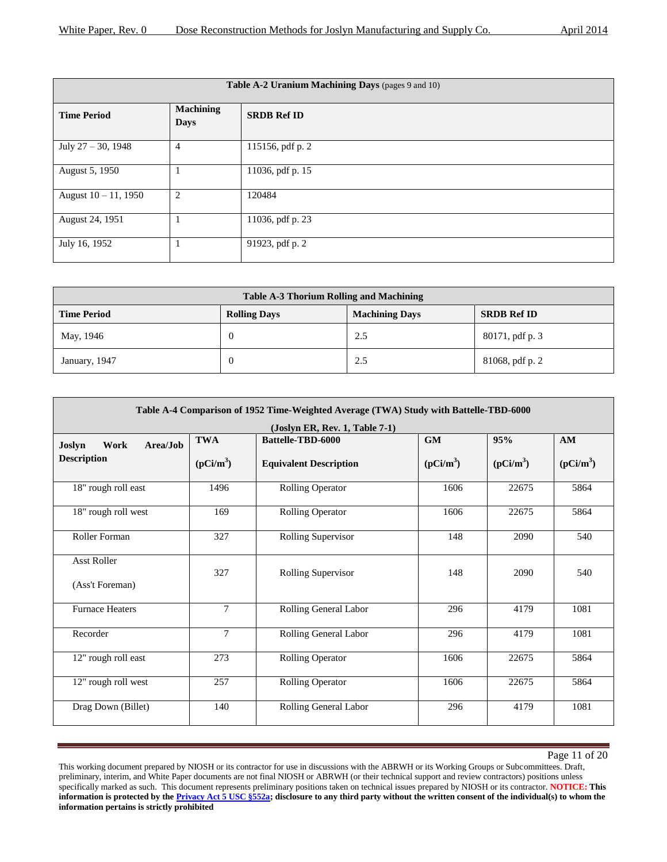| Table A-2 Uranium Machining Days (pages 9 and 10) |                                 |                    |  |
|---------------------------------------------------|---------------------------------|--------------------|--|
| <b>Time Period</b>                                | <b>Machining</b><br><b>Days</b> | <b>SRDB Ref ID</b> |  |
| July $27 - 30$ , 1948                             | $\overline{4}$                  | 115156, pdf p. 2   |  |
| August 5, 1950                                    |                                 | 11036, pdf p. 15   |  |
| August $10 - 11$ , 1950                           | $\overline{2}$                  | 120484             |  |
| August 24, 1951                                   |                                 | 11036, pdf p. 23   |  |
| July 16, 1952                                     |                                 | 91923, pdf p. 2    |  |

| Table A-3 Thorium Rolling and Machining |                     |                       |                    |
|-----------------------------------------|---------------------|-----------------------|--------------------|
| <b>Time Period</b>                      | <b>Rolling Days</b> | <b>Machining Days</b> | <b>SRDB Ref ID</b> |
| May, 1946                               |                     | 2.5                   | 80171, pdf p. 3    |
| January, 1947                           |                     | 2.5                   | 81068, pdf p. 2    |

| Table A-4 Comparison of 1952 Time-Weighted Average (TWA) Study with Battelle-TBD-6000 |                                |                                      |             |             |             |  |
|---------------------------------------------------------------------------------------|--------------------------------|--------------------------------------|-------------|-------------|-------------|--|
|                                                                                       |                                | $($ Joslyn ER, Rev. 1, Table 7-1 $)$ |             |             |             |  |
| Work<br>Area/Job<br>Joslyn                                                            | <b>TWA</b>                     | <b>Battelle-TBD-6000</b>             | <b>GM</b>   | 95%         | AM          |  |
| <b>Description</b>                                                                    | $(pCi/m^3)$                    | <b>Equivalent Description</b>        | $(pCi/m^3)$ | $(pCi/m^3)$ | $(pCi/m^3)$ |  |
| 18" rough roll east                                                                   | 1496                           | <b>Rolling Operator</b>              | 1606        | 22675       | 5864        |  |
| 18" rough roll west                                                                   | 169                            | <b>Rolling Operator</b>              | 1606        | 22675       | 5864        |  |
| Roller Forman                                                                         | 327                            | Rolling Supervisor<br>148            |             | 2090        | 540         |  |
| <b>Asst Roller</b><br>(Ass't Foreman)                                                 | 327                            | 148<br>Rolling Supervisor            |             | 2090        | 540         |  |
| <b>Furnace Heaters</b>                                                                | $\overline{7}$                 | Rolling General Labor                | 296         | 4179        | 1081        |  |
| Recorder                                                                              | $\overline{7}$                 | Rolling General Labor                | 296         | 4179        | 1081        |  |
| 12" rough roll east                                                                   | 273<br><b>Rolling Operator</b> |                                      | 1606        | 22675       | 5864        |  |
| 12" rough roll west<br>257                                                            |                                | <b>Rolling Operator</b><br>1606      |             | 22675       | 5864        |  |
| Drag Down (Billet)                                                                    | 140                            | Rolling General Labor                | 296         | 4179        | 1081        |  |

Page 11 of 20

This working document prepared by NIOSH or its contractor for use in discussions with the ABRWH or its Working Groups or Subcommittees. Draft, preliminary, interim, and White Paper documents are not final NIOSH or ABRWH (or their technical support and review contractors) positions unless specifically marked as such. This document represents preliminary positions taken on technical issues prepared by NIOSH or its contractor. **NOTICE: This**  information is protected by the **Privacy Act 5 USC §552a**; disclosure to any third party without the written consent of the individual(s) to whom the **information pertains is strictly prohibited**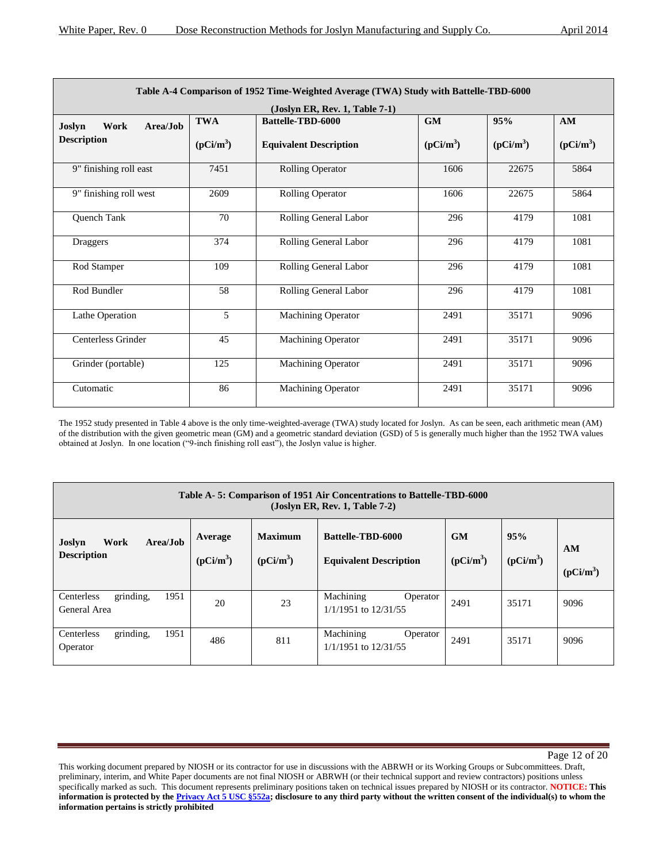| Table A-4 Comparison of 1952 Time-Weighted Average (TWA) Study with Battelle-TBD-6000 |             |                                |             |             |             |
|---------------------------------------------------------------------------------------|-------------|--------------------------------|-------------|-------------|-------------|
|                                                                                       |             | (Joslyn ER, Rev. 1, Table 7-1) |             |             |             |
| Work<br>Area/Job<br>Joslyn                                                            | <b>TWA</b>  | <b>Battelle-TBD-6000</b>       | <b>GM</b>   | 95%         | AM          |
| <b>Description</b>                                                                    | $(pCi/m^3)$ | <b>Equivalent Description</b>  | $(pCi/m^3)$ | $(pCi/m^3)$ | $(pCi/m^3)$ |
| 9" finishing roll east                                                                | 7451        | <b>Rolling Operator</b>        | 1606        | 22675       | 5864        |
| 9" finishing roll west                                                                | 2609        | <b>Rolling Operator</b>        | 1606        | 22675       | 5864        |
| Quench Tank                                                                           | 70          | Rolling General Labor          | 296         | 4179        | 1081        |
| Draggers                                                                              | 374         | Rolling General Labor          | 296         | 4179        | 1081        |
| Rod Stamper                                                                           | 109         | Rolling General Labor          | 296         | 4179        | 1081        |
| Rod Bundler                                                                           | 58          | Rolling General Labor          | 296         | 4179        | 1081        |
| Lathe Operation                                                                       | 5           | <b>Machining Operator</b>      | 2491        | 35171       | 9096        |
| <b>Centerless Grinder</b>                                                             | 45          | <b>Machining Operator</b>      | 2491        | 35171       | 9096        |
| Grinder (portable)                                                                    | 125         | <b>Machining Operator</b>      | 2491        | 35171       | 9096        |
| Cutomatic                                                                             | 86          | <b>Machining Operator</b>      | 2491        | 35171       | 9096        |

The 1952 study presented in Table 4 above is the only time-weighted-average (TWA) study located for Joslyn. As can be seen, each arithmetic mean (AM) of the distribution with the given geometric mean (GM) and a geometric standard deviation (GSD) of 5 is generally much higher than the 1952 TWA values obtained at Joslyn. In one location ("9-inch finishing roll east"), the Joslyn value is higher.

| Table A-5: Comparison of 1951 Air Concentrations to Battelle-TBD-6000<br>$(Joslyn ER, Rev. 1, Table 7-2)$ |                        |                               |                                                    |                          |                    |                   |
|-----------------------------------------------------------------------------------------------------------|------------------------|-------------------------------|----------------------------------------------------|--------------------------|--------------------|-------------------|
| Area/Job<br>Work<br>Joslyn<br><b>Description</b>                                                          | Average<br>$(pCi/m^3)$ | <b>Maximum</b><br>$(pCi/m^3)$ | Battelle-TBD-6000<br><b>Equivalent Description</b> | <b>GM</b><br>$(pCi/m^3)$ | 95%<br>$(pCi/m^3)$ | AM<br>$(pCi/m^3)$ |
| 1951<br>grinding,<br>Centerless<br>General Area                                                           | 20                     | 23                            | Machining<br>Operator<br>1/1/1951 to 12/31/55      | 2491                     | 35171              | 9096              |
| grinding,<br>1951<br>Centerless<br>Operator                                                               | 486                    | 811                           | Machining<br>Operator<br>1/1/1951 to 12/31/55      | 2491                     | 35171              | 9096              |

This working document prepared by NIOSH or its contractor for use in discussions with the ABRWH or its Working Groups or Subcommittees. Draft, preliminary, interim, and White Paper documents are not final NIOSH or ABRWH (or their technical support and review contractors) positions unless specifically marked as such. This document represents preliminary positions taken on technical issues prepared by NIOSH or its contractor. **NOTICE: This information is protected by the Privacy Act 5 USC §552a; disclosure to any third party without the written consent of the individual(s) to whom the information pertains is strictly prohibited**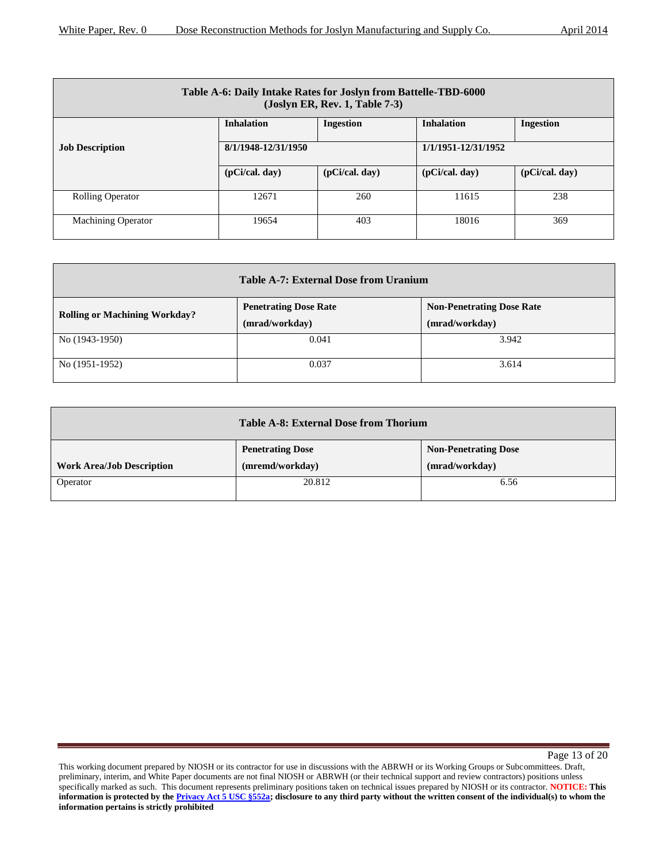| Table A-6: Daily Intake Rates for Joslyn from Battelle-TBD-6000<br>(Joslyn ER, Rev. 1, Table 7-3) |                     |                  |                     |                  |
|---------------------------------------------------------------------------------------------------|---------------------|------------------|---------------------|------------------|
|                                                                                                   | <b>Inhalation</b>   | <b>Ingestion</b> | <b>Inhalation</b>   | <b>Ingestion</b> |
| <b>Job Description</b>                                                                            | 8/1/1948-12/31/1950 |                  | 1/1/1951-12/31/1952 |                  |
|                                                                                                   | (pCi/cal, day)      | (pCi/cal, day)   | (pCi/cal, day)      | (pCi/cal, day)   |
| <b>Rolling Operator</b>                                                                           | 12671               | 260              | 11615               | 238              |
| <b>Machining Operator</b>                                                                         | 19654               | 403              | 18016               | 369              |

| <b>Table A-7: External Dose from Uranium</b> |                                                |                                                    |  |
|----------------------------------------------|------------------------------------------------|----------------------------------------------------|--|
| <b>Rolling or Machining Workday?</b>         | <b>Penetrating Dose Rate</b><br>(mrad/workday) | <b>Non-Penetrating Dose Rate</b><br>(mrad/workday) |  |
| No (1943-1950)                               | 0.041                                          | 3.942                                              |  |
| No (1951-1952)                               | 0.037                                          | 3.614                                              |  |

|                                  | Table A-8: External Dose from Thorium |                             |  |  |
|----------------------------------|---------------------------------------|-----------------------------|--|--|
|                                  | <b>Penetrating Dose</b>               | <b>Non-Penetrating Dose</b> |  |  |
| <b>Work Area/Job Description</b> | (mremd/workday)                       | (mrad/workday)              |  |  |
| Operator                         | 20.812                                | 6.56                        |  |  |
|                                  |                                       |                             |  |  |

Page 13 of 20

This working document prepared by NIOSH or its contractor for use in discussions with the ABRWH or its Working Groups or Subcommittees. Draft, preliminary, interim, and White Paper documents are not final NIOSH or ABRWH (or their technical support and review contractors) positions unless specifically marked as such. This document represents preliminary positions taken on technical issues prepared by NIOSH or its contractor. **NOTICE: This**  information is protected by the **Privacy Act 5 USC §552a**; disclosure to any third party without the written consent of the individual(s) to whom the **information pertains is strictly prohibited**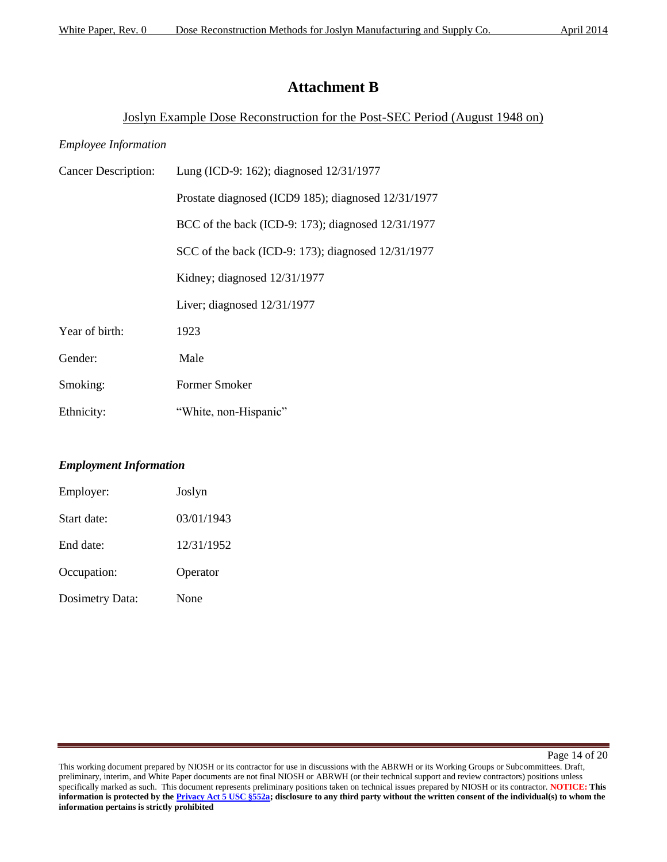# **Attachment B**

### Joslyn Example Dose Reconstruction for the Post-SEC Period (August 1948 on)

### *Employee Information*

| <b>Cancer Description:</b> | Lung (ICD-9: 162); diagnosed 12/31/1977             |
|----------------------------|-----------------------------------------------------|
|                            | Prostate diagnosed (ICD9 185); diagnosed 12/31/1977 |
|                            | BCC of the back (ICD-9: 173); diagnosed 12/31/1977  |
|                            | SCC of the back (ICD-9: 173); diagnosed 12/31/1977  |
|                            | Kidney; diagnosed 12/31/1977                        |
|                            | Liver; diagnosed $12/31/1977$                       |
| Year of birth:             | 1923                                                |
| Gender:                    | Male                                                |
| Smoking:                   | Former Smoker                                       |
| Ethnicity:                 | "White, non-Hispanic"                               |

### *Employment Information*

| Employer:              | Joslyn     |
|------------------------|------------|
| Start date:            | 03/01/1943 |
| End date:              | 12/31/1952 |
| Occupation:            | Operator   |
| <b>Dosimetry Data:</b> | None       |

Page 14 of 20

This working document prepared by NIOSH or its contractor for use in discussions with the ABRWH or its Working Groups or Subcommittees. Draft, preliminary, interim, and White Paper documents are not final NIOSH or ABRWH (or their technical support and review contractors) positions unless specifically marked as such. This document represents preliminary positions taken on technical issues prepared by NIOSH or its contractor. **NOTICE: This information is protected by the Privacy Act 5 USC §552a; disclosure to any third party without the written consent of the individual(s) to whom the information pertains is strictly prohibited**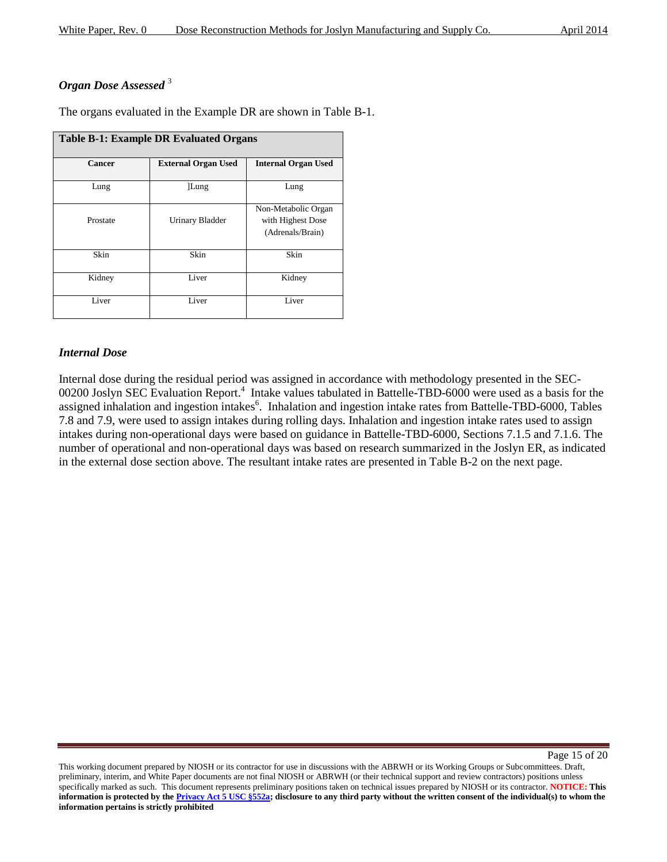## *Organ Dose Assessed* <sup>3</sup>

The organs evaluated in the Example DR are shown in Table B-1.

| <b>Table B-1: Example DR Evaluated Organs</b> |                            |                                                              |  |  |  |
|-----------------------------------------------|----------------------------|--------------------------------------------------------------|--|--|--|
| Cancer                                        | <b>External Organ Used</b> | <b>Internal Organ Used</b>                                   |  |  |  |
| Lung                                          | Lung                       | Lung                                                         |  |  |  |
| Prostate                                      | <b>Urinary Bladder</b>     | Non-Metabolic Organ<br>with Highest Dose<br>(Adrenals/Brain) |  |  |  |
| Skin                                          | Skin                       | Skin                                                         |  |  |  |
| Kidney                                        | Liver                      | Kidney                                                       |  |  |  |
| Liver                                         | Liver                      | Liver                                                        |  |  |  |

### *Internal Dose*

Internal dose during the residual period was assigned in accordance with methodology presented in the SEC-00200 Joslyn SEC Evaluation Report.<sup>4</sup> Intake values tabulated in Battelle-TBD-6000 were used as a basis for the assigned inhalation and ingestion intakes<sup>6</sup>. Inhalation and ingestion intake rates from Battelle-TBD-6000, Tables 7.8 and 7.9, were used to assign intakes during rolling days. Inhalation and ingestion intake rates used to assign intakes during non-operational days were based on guidance in Battelle-TBD-6000, Sections 7.1.5 and 7.1.6. The number of operational and non-operational days was based on research summarized in the Joslyn ER, as indicated in the external dose section above. The resultant intake rates are presented in Table B-2 on the next page.

Page 15 of 20

This working document prepared by NIOSH or its contractor for use in discussions with the ABRWH or its Working Groups or Subcommittees. Draft, preliminary, interim, and White Paper documents are not final NIOSH or ABRWH (or their technical support and review contractors) positions unless specifically marked as such. This document represents preliminary positions taken on technical issues prepared by NIOSH or its contractor. **NOTICE: This information is protected by the Privacy Act 5 USC §552a; disclosure to any third party without the written consent of the individual(s) to whom the information pertains is strictly prohibited**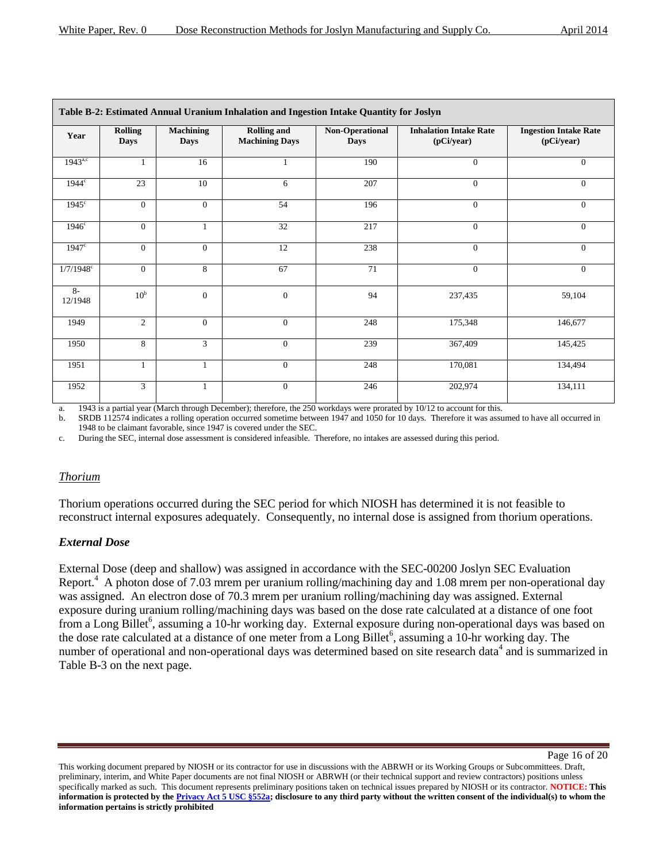| April 201 |  |
|-----------|--|
|           |  |

| Table B-2: Estimated Annual Uranium Inhalation and Ingestion Intake Quantity for Joslyn |                               |                                 |                                             |                                |                                             |                                            |
|-----------------------------------------------------------------------------------------|-------------------------------|---------------------------------|---------------------------------------------|--------------------------------|---------------------------------------------|--------------------------------------------|
| Year                                                                                    | <b>Rolling</b><br><b>Days</b> | <b>Machining</b><br><b>Days</b> | <b>Rolling and</b><br><b>Machining Days</b> | Non-Operational<br><b>Days</b> | <b>Inhalation Intake Rate</b><br>(pCi/year) | <b>Ingestion Intake Rate</b><br>(pCi/year) |
| $1943^{a,c}$                                                                            |                               | 16                              |                                             | 190                            | $\overline{0}$                              | $\Omega$                                   |
| 1944 <sup>c</sup>                                                                       | 23                            | 10                              | 6                                           | 207                            | $\mathbf{0}$                                | $\Omega$                                   |
| $1945$ <sup>c</sup>                                                                     | $\overline{0}$                | $\overline{0}$                  | 54                                          | 196                            | $\overline{0}$                              | $\Omega$                                   |
| $1946^{\circ}$                                                                          | $\overline{0}$                | $\mathbf{1}$                    | 32                                          | 217                            | $\overline{0}$                              | $\theta$                                   |
| $1947$ <sup>c</sup>                                                                     | $\overline{0}$                | $\mathbf{0}$                    | 12                                          | 238                            | $\overline{0}$                              | $\theta$                                   |
| $1/7/1948$ °                                                                            | $\overline{0}$                | 8                               | 67                                          | 71                             | $\overline{0}$                              | $\Omega$                                   |
| $8-$<br>12/1948                                                                         | 10 <sup>b</sup>               | $\boldsymbol{0}$                | $\mathbf{0}$                                | 94                             | 237,435                                     | 59,104                                     |
| 1949                                                                                    | $\overline{2}$                | $\overline{0}$                  | $\overline{0}$                              | 248                            | 175,348                                     | 146,677                                    |
| 1950                                                                                    | 8                             | 3                               | $\Omega$                                    | 239                            | 367,409                                     | 145,425                                    |
| 1951                                                                                    | $\mathbf{1}$                  | $\mathbf{1}$                    | $\overline{0}$                              | 248                            | 170,081                                     | 134,494                                    |
| 1952                                                                                    | $\overline{3}$                | $\mathbf{1}$                    | $\Omega$                                    | 246                            | 202,974                                     | 134,111                                    |

a. 1943 is a partial year (March through December); therefore, the 250 workdays were prorated by 10/12 to account for this.

b. SRDB 112574 indicates a rolling operation occurred sometime between 1947 and 1050 for 10 days. Therefore it was assumed to have all occurred in 1948 to be claimant favorable, since 1947 is covered under the SEC.

c. During the SEC, internal dose assessment is considered infeasible. Therefore, no intakes are assessed during this period.

#### *Thorium*

Thorium operations occurred during the SEC period for which NIOSH has determined it is not feasible to reconstruct internal exposures adequately. Consequently, no internal dose is assigned from thorium operations.

### *External Dose*

External Dose (deep and shallow) was assigned in accordance with the SEC-00200 Joslyn SEC Evaluation Report.<sup>4</sup> A photon dose of 7.03 mrem per uranium rolling/machining day and 1.08 mrem per non-operational day was assigned. An electron dose of 70.3 mrem per uranium rolling/machining day was assigned. External exposure during uranium rolling/machining days was based on the dose rate calculated at a distance of one foot from a Long Billet<sup>6</sup>, assuming a 10-hr working day. External exposure during non-operational days was based on the dose rate calculated at a distance of one meter from a Long Billet<sup>6</sup>, assuming a 10-hr working day. The number of operational and non-operational days was determined based on site research data<sup>4</sup> and is summarized in Table B-3 on the next page.

Page 16 of 20

This working document prepared by NIOSH or its contractor for use in discussions with the ABRWH or its Working Groups or Subcommittees. Draft, preliminary, interim, and White Paper documents are not final NIOSH or ABRWH (or their technical support and review contractors) positions unless specifically marked as such. This document represents preliminary positions taken on technical issues prepared by NIOSH or its contractor. **NOTICE: This information is protected by the Privacy Act 5 USC §552a; disclosure to any third party without the written consent of the individual(s) to whom the information pertains is strictly prohibited**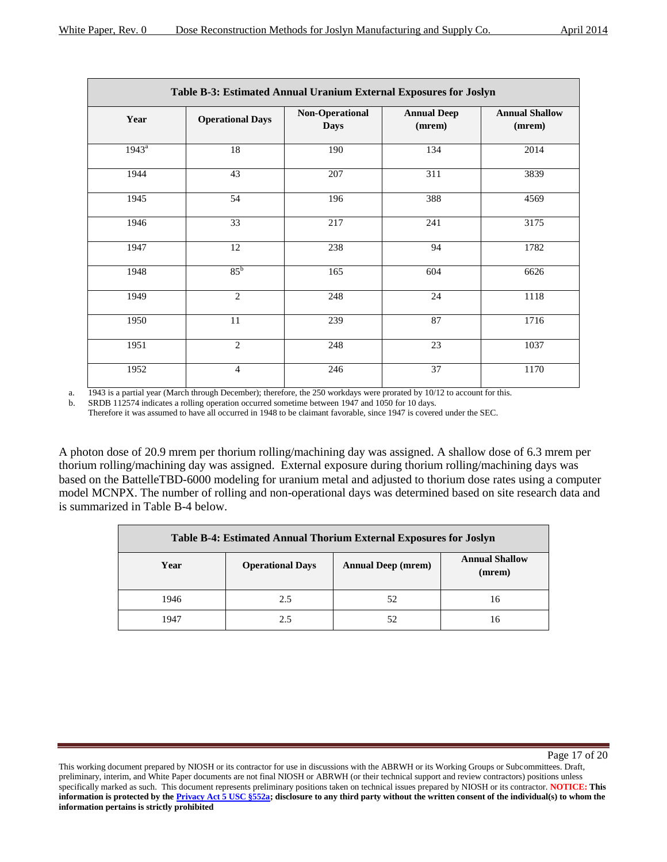| April 2014 |  |
|------------|--|
|            |  |
|            |  |
|            |  |
|            |  |

| Table B-3: Estimated Annual Uranium External Exposures for Joslyn |                         |                                       |                              |                                 |  |
|-------------------------------------------------------------------|-------------------------|---------------------------------------|------------------------------|---------------------------------|--|
| Year                                                              | <b>Operational Days</b> | <b>Non-Operational</b><br><b>Days</b> | <b>Annual Deep</b><br>(mrem) | <b>Annual Shallow</b><br>(mrem) |  |
| $1943^a$                                                          | 18                      | 190                                   | 134                          | 2014                            |  |
| 1944                                                              | 43                      | $\overline{207}$                      | 311                          | 3839                            |  |
| 1945                                                              | 54                      | 196                                   | 388                          | 4569                            |  |
| 1946                                                              | 33                      | 217                                   | 241                          | 3175                            |  |
| 1947                                                              | 12                      | 238                                   | 94                           | 1782                            |  |
| 1948                                                              | $85^{\rm b}$            | 165                                   | 604                          | 6626                            |  |
| 1949                                                              | $\overline{2}$          | 248                                   | 24                           | 1118                            |  |
| 1950                                                              | $11\,$                  | 239                                   | 87                           | 1716                            |  |
| 1951                                                              | 2                       | 248                                   | 23                           | 1037                            |  |
| 1952                                                              | $\overline{4}$          | 246                                   | 37                           | 1170                            |  |

a. 1943 is a partial year (March through December); therefore, the 250 workdays were prorated by 10/12 to account for this.

b. SRDB 112574 indicates a rolling operation occurred sometime between 1947 and 1050 for 10 days.

Therefore it was assumed to have all occurred in 1948 to be claimant favorable, since 1947 is covered under the SEC.

A photon dose of 20.9 mrem per thorium rolling/machining day was assigned. A shallow dose of 6.3 mrem per thorium rolling/machining day was assigned. External exposure during thorium rolling/machining days was based on the BattelleTBD-6000 modeling for uranium metal and adjusted to thorium dose rates using a computer model MCNPX. The number of rolling and non-operational days was determined based on site research data and is summarized in Table B-4 below.

| Table B-4: Estimated Annual Thorium External Exposures for Joslyn |                                                                                         |    |    |  |  |
|-------------------------------------------------------------------|-----------------------------------------------------------------------------------------|----|----|--|--|
| Year                                                              | <b>Annual Shallow</b><br><b>Annual Deep (mrem)</b><br><b>Operational Days</b><br>(mrem) |    |    |  |  |
| 1946                                                              | 2.5                                                                                     | 52 | 16 |  |  |
| 1947                                                              | 2.5                                                                                     | 52 | 16 |  |  |

Page 17 of 20

This working document prepared by NIOSH or its contractor for use in discussions with the ABRWH or its Working Groups or Subcommittees. Draft, preliminary, interim, and White Paper documents are not final NIOSH or ABRWH (or their technical support and review contractors) positions unless specifically marked as such. This document represents preliminary positions taken on technical issues prepared by NIOSH or its contractor. **NOTICE: This information is protected by the Privacy Act 5 USC §552a; disclosure to any third party without the written consent of the individual(s) to whom the information pertains is strictly prohibited**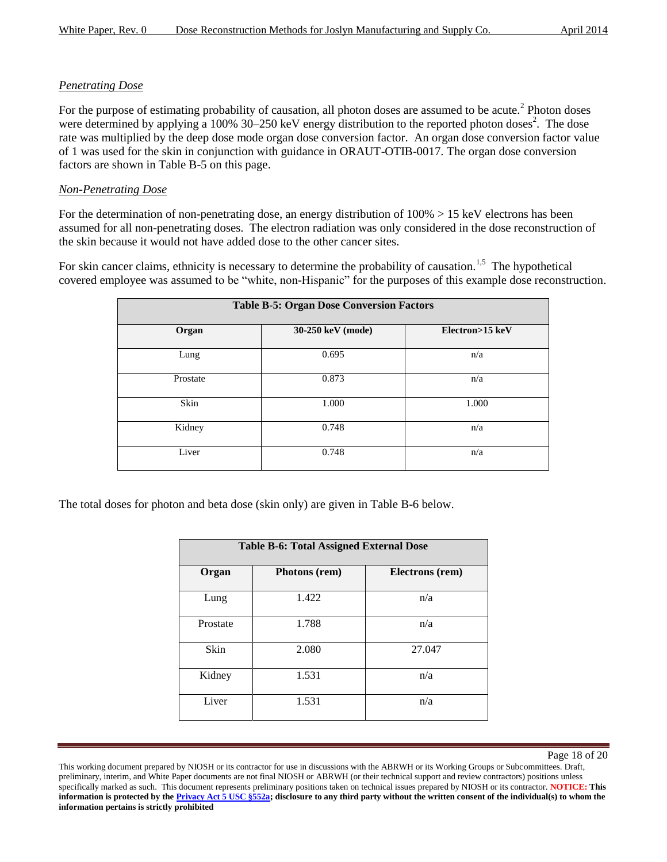### *Penetrating Dose*

For the purpose of estimating probability of causation, all photon doses are assumed to be acute.<sup>2</sup> Photon doses were determined by applying a 100%  $30-250$  keV energy distribution to the reported photon doses<sup>2</sup>. The dose rate was multiplied by the deep dose mode organ dose conversion factor. An organ dose conversion factor value of 1 was used for the skin in conjunction with guidance in ORAUT-OTIB-0017. The organ dose conversion factors are shown in Table B-5 on this page.

### *Non-Penetrating Dose*

For the determination of non-penetrating dose, an energy distribution of  $100\% > 15$  keV electrons has been assumed for all non-penetrating doses. The electron radiation was only considered in the dose reconstruction of the skin because it would not have added dose to the other cancer sites.

For skin cancer claims, ethnicity is necessary to determine the probability of causation.<sup>1,5</sup> The hypothetical covered employee was assumed to be "white, non-Hispanic" for the purposes of this example dose reconstruction.

| <b>Table B-5: Organ Dose Conversion Factors</b> |                   |                 |  |  |  |
|-------------------------------------------------|-------------------|-----------------|--|--|--|
| Organ                                           | 30-250 keV (mode) | Electron>15 keV |  |  |  |
| Lung                                            | 0.695             | n/a             |  |  |  |
| Prostate                                        | 0.873             | n/a             |  |  |  |
| Skin                                            | 1.000             | 1.000           |  |  |  |
| Kidney                                          | 0.748             | n/a             |  |  |  |
| Liver                                           | 0.748             | n/a             |  |  |  |

The total doses for photon and beta dose (skin only) are given in Table B-6 below.

| <b>Table B-6: Total Assigned External Dose</b> |               |                        |  |  |
|------------------------------------------------|---------------|------------------------|--|--|
| Organ                                          | Photons (rem) | <b>Electrons</b> (rem) |  |  |
| Lung                                           | 1.422         | n/a                    |  |  |
| Prostate                                       | 1.788         | n/a                    |  |  |
| Skin                                           | 2.080         | 27.047                 |  |  |
| Kidney                                         | 1.531         | n/a                    |  |  |
| Liver                                          | 1.531         | n/a                    |  |  |

Page 18 of 20

This working document prepared by NIOSH or its contractor for use in discussions with the ABRWH or its Working Groups or Subcommittees. Draft, preliminary, interim, and White Paper documents are not final NIOSH or ABRWH (or their technical support and review contractors) positions unless specifically marked as such. This document represents preliminary positions taken on technical issues prepared by NIOSH or its contractor. **NOTICE: This information is protected by the Privacy Act 5 USC §552a; disclosure to any third party without the written consent of the individual(s) to whom the information pertains is strictly prohibited**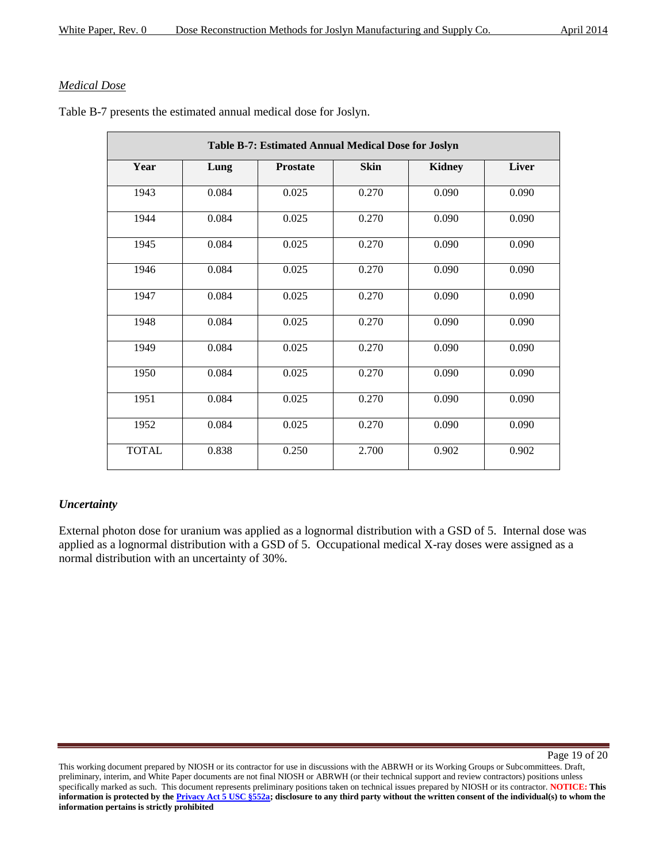### *Medical Dose*

| Table B-7: Estimated Annual Medical Dose for Joslyn |       |                 |             |               |              |
|-----------------------------------------------------|-------|-----------------|-------------|---------------|--------------|
| Year                                                | Lung  | <b>Prostate</b> | <b>Skin</b> | <b>Kidney</b> | <b>Liver</b> |
| 1943                                                | 0.084 | 0.025           | 0.270       | 0.090         | 0.090        |
| 1944                                                | 0.084 | 0.025           | 0.270       | 0.090         | 0.090        |
| 1945                                                | 0.084 | 0.025           | 0.270       | 0.090         | 0.090        |
| 1946                                                | 0.084 | 0.025           | 0.270       | 0.090         | 0.090        |
| 1947                                                | 0.084 | 0.025           | 0.270       | 0.090         | 0.090        |
| 1948                                                | 0.084 | 0.025           | 0.270       | 0.090         | 0.090        |
| 1949                                                | 0.084 | 0.025           | 0.270       | 0.090         | 0.090        |
| 1950                                                | 0.084 | 0.025           | 0.270       | 0.090         | 0.090        |
| 1951                                                | 0.084 | 0.025           | 0.270       | 0.090         | 0.090        |
| 1952                                                | 0.084 | 0.025           | 0.270       | 0.090         | 0.090        |
| <b>TOTAL</b>                                        | 0.838 | 0.250           | 2.700       | 0.902         | 0.902        |

Table B-7 presents the estimated annual medical dose for Joslyn.

### *Uncertainty*

External photon dose for uranium was applied as a lognormal distribution with a GSD of 5. Internal dose was applied as a lognormal distribution with a GSD of 5. Occupational medical X-ray doses were assigned as a normal distribution with an uncertainty of 30%.

Page 19 of 20

This working document prepared by NIOSH or its contractor for use in discussions with the ABRWH or its Working Groups or Subcommittees. Draft, preliminary, interim, and White Paper documents are not final NIOSH or ABRWH (or their technical support and review contractors) positions unless specifically marked as such. This document represents preliminary positions taken on technical issues prepared by NIOSH or its contractor. **NOTICE: This information is protected by the Privacy Act 5 USC §552a; disclosure to any third party without the written consent of the individual(s) to whom the information pertains is strictly prohibited**